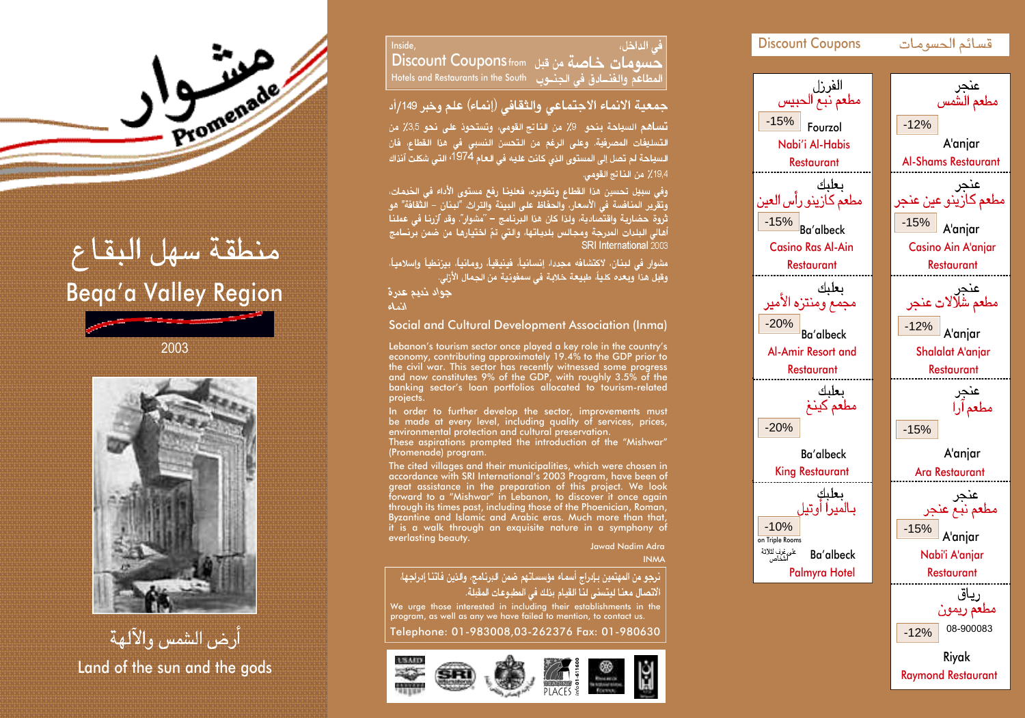

Inside, دن الداخان، Discount Coupons from Hotels and Restaurants in the South

## جمعية الانماء الاجتماعى والثقافى (إنماء) علم وخبر 149/أد

تساهم السياحة بنحو \_9٪ من الناتج القومي، وتستحوذ على نحو 3,5٪ من لتسليفات المصرفية. وعلى الرغم من التحسن النسبي في هذا القطاء، فان السياحة لم تصل إلى المستوى الذي كانت عليه في العام 1974ً، التي شكلت آنذاك 19,4٪ من الفاتح القومي.

.<br>وفي سبيل تحسين هذا القطاع وتطويره، فعلينا رفع مستوى الأداء في الخدمات، وتقرَّير المنافسة في الأسعار، والحفاظ على البيئة والتراث. "لبنان – الَّثقافة" هو ثروة حضارية واقتصَّادية، ولذا كان هذا البِّرنامج – "مشوار". وقد آرْرنا في عملنا أهالي البلدات المدرجة ومجالس بلدياتها، والتي تمّ اختيارها من ضمن برنــامج SRI International 2003

.<br>مشوار في لبنان، لاكتشافه مجددا، إنسانياً، فينيقياً، رومانياً، بيزنطياً وإسلامياً، وقِبل هذا ۖ وبعده كلياً، طبيعة خلابة ۖ في سمفونية من الجمال الأرْلي.

جواد نديم عدرة

أأنماء

Social and Cultural Development Association (Inma)

Lebanon's tourism sector once played a key role in the country's economy, contributing approximately 19.4% to the GDP prior to the civil war. This sector has recently witnessed some progress and now constitutes 9% of the GDP, with roughly 3.5% of the banking sector's loan portfolios allocated to tourism-related projects.

In order to further develop the sector, improvements must be made at every level, including quality of services, prices, environmental protection and cultural preservation.

These aspirations prompted the introduction of the "Mishwar" (Promenade) program.

The cited villages and their municipalities, which were chosen in accordance with SRI International's 2003 Program, have been of great assistance in the preparation of this project. We look forward to a "Mishwar" in Lebanon, to discover it once again through its times past, including those of the Phoenician, Roman, Byzantine and Islamic and Arabic eras. Much more than that, it is a walk through an exquisite nature in a symphony of everlasting beauty.

Jawad Nadim Adra INMA

## انرجو من المهتمين بإدراج أسماء مؤسساتهم ضمن البرنامج، والذين فاتنا إدراجها، الاتصال معنا ليتسنى لنا القيام بذلك في المطبوعات المقبلة.

We urge those interested in including their establishments in the program, as well as any we have failed to mention, to contact us.

Telephone: 01-983008,03-262376 Fax: 01-980630







2003



أرض الشمس والآلهة Land of the sun and the gods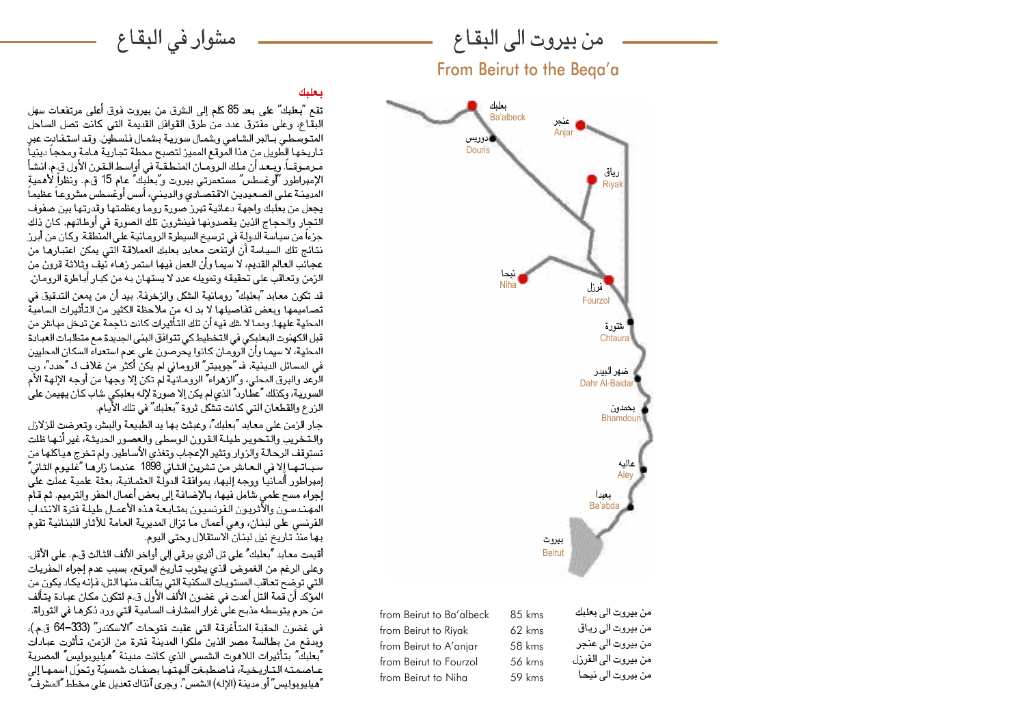من بيروت الى البقاع

From Beirut to the Beqa'a



من بيروت الى بعلبك from Beirut to Ba'albeck 85 kms من بيروت الى رياق from Beirut to Riyak 62 kms من بيروت الى عنجر from Beirut to A'anjar 58 kms من بيروت الى الفرزل from Beirut to Fourzol 56 kms من بيروت الى نيحا from Beirut to Niha 59 kms

## ببعليك

تقع "بعلبك" على بعد 85 كلم إلى الشرق من بيروت فوق أعلى مرتفعات سهل البقاع، وعلى مفترق عدد من طرق القوافل القديمة التي كانت تصل الساحل المتوسطي ببالبر الشامي ويشمال سوريية بشمال فلسطين. وقد استفيادت عبر تاريخها الطّويل من هذا المّوقع المميز لتصبح محطة تجارية هـامة ومحجاً دينياً مبرمبوقياً. ويبعد أن ملك الروميان المنطقية في أواسط البقرن الأول ق.م. انشأ الإمبراطور "أوغسطس" مستعمرتي بيروت و"بعلبك" عام 15 ق.م. ونظراً لأهمية المدينـة علـى الصـعـيديـن الاقـتصـاّدى والديـنـى، أسس أوغسـطس مشروعـاً عظيمـاً يجعل من بعلبك واجهة دعائية تبرز صورة روما وعظمتها وقدرتها بين صفوف التجار والحجاج الذين يقصدونها فينشرون تلك الصورة في أوطانهم. كان ذلك جزءا من سياسة الدولة في ترسيخ السيطرة الرومـانية على المنطقة. وكـان من أبرز نتائج تلك السياسة أن ارتفعت معابد بعلبك العملاقة التي يمكن اعتبارها من عجائب العالم القديم، لا سيما وأن العمل فيها استمر زهـاء نُيف وثلاثة قرون من الزمن وتعاقب على تحقيقه وتمويله عدد لا يستهان به من كبار أباطرة الرومان. قد تكون معابد "بعلبك" رومانية الشكل والزخرفة. بيد أن من يمعن التدقيق في تصاميمها ويعض تفاصيلها لا بد له من ملاحظة الكثير من التأثيرات السامية المحلية عليها. ومما لا يقك فيه أن تلك التأثير ات كانت ناجمة عن تبخل مياش من قبل الكهنوت البعلبكي في التخطيط كي تتوافق البني الجديدة مع متطلبات العبادة المحلية، لا سيمـا وأن الروّمـان كـانوا يـحرصون على عدم استعداء السكان المحليين في المسائل الدينية. فـ "جويبتر" الروماني لم يكنّ أكثر من غلاف لـ "حدد"، رب الرَّعد والبرق المحلي، و ؒالزهراء ؒ الرومانيةٌ لم تكن إلا وجها من أوجه الإلهة الأم السورية، وكذلك "عطارد" الذي لم يكن إلا صورة لإله بعلبكي شاب كان يهيمن على الزرع والقطعان التي كانت تتَّقكل ثروة "بعلبك" في تلك الأيَّام.

مشوار في البقاع

جار الزمن على معابد "بعلبك"، وعبثت بها يد الطبيعة والبش، وتعرضت للزلازل والتخريب والتحوير طيلة القرون الوسطى والعصور الحديثة، غير أنها ظلت تستوقف الرحالة والزوار وتثير الإعجاب وتغذى الأساطير. ولم تخرج هياكلها من سبــاتــهـا إلا في الــعـاشر من تشرين الـثـاني 1898 عندمـا زارهـا "غَليـوم الثـاني" إمبراطور ألمانيًا ووجه إليها، بموافقة الدوِّلة العثمانية، بعثة علمية عملت عليَّ، إجراء مسح علمي شامل فيها، بـالإضـافـة إلى بـعض أعمـال الـحفر والترميم. ثم قـام المهندسون والأثريون الفرنسيون بمتابعة هذه الأعمال طيلة فترة الانتداب الفرنسي على لبنان، وهي أعمال ما تزال المديرية العامة للآثار اللبنانية تقوم بها منذٌ تاريخ نيل لبنان الاستقلال وحتى اليوم.

أقيمت معابد "بعلبك" على تل أثري يرقي إلى أواخر الألف الثالث ق.م. على الأقل. وعلى الرغم من الغموض الذي يشوب تـاريخ الموقـع، بسبب عدم إجراء الحفريـات التي توضح تعاقب المستويات السكنية التي يتألف منها التل، فإنه يكاد يكون من المؤكِّد أن قمة التل أعدت في غضون الألفْ الأول ق.م لتكون مكان عبادة يتألف من حرم يتوسطه مذبح على عرار المشارف السامية الّتى ورد ذكرهـا في التوراة. في غضون الحقبة المتأغرقة التي عقبت فتوحات آالاسكندر" (333–64 ق.م.)، ويدفع من بطالسة مصر الذين ملكوا المدينة فترة من الزمن، تأثرت عبادات ُبِعلَبِكٌ بِتأْثِيرات اللاهوت الشمسي الذي كانت مدينة "هيليوپوليس" المصرية عـاصمتـه التـاريـخيـة، فـاصـطبـغت ٓالـهتـها بصـفـات شمسيّـة وتحوّل اسمـهـا إلى "هيليو بوليس" أو مدينة (الإله) الشمس". وحرى آنذاك تعديل على مخطط "المشرف"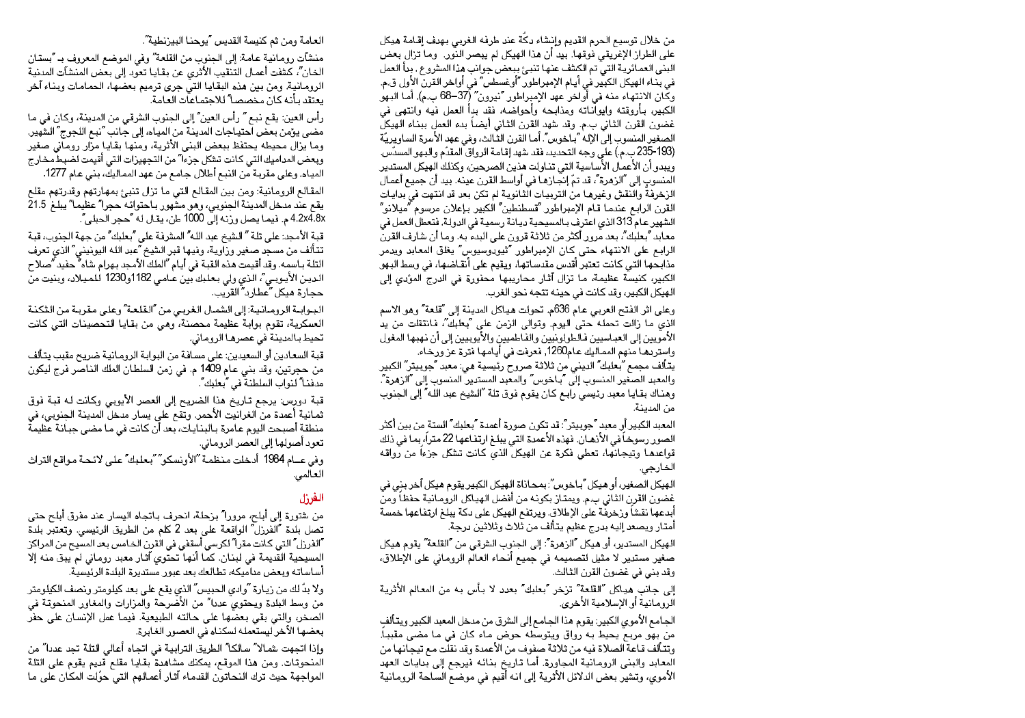من خلال توسيع الحرم القديم وإنشاء دكة عند طرفه الغربي بهدف إقامة هيكل على الطراز الإغريقي فوقها. بيد أن هذا الهيكل لم يبصر النور. وما تزال بعض البني العمائرية التي تم الكشف عنها تنبئ ببعض جوانب هذا المشروع . بدأ العمل في بذاء الهيكل الكبير في أيـام الإمبراطور ″أوغسطس″ في أواخر القرن الأول ق.م. وكَّان الانتهاء منه في أَواخر عهد الإمبراطور "نيرون" (37–68 ب.م). أما البهو الكبير، بأروقته وايواّناته ومذابحه وأحواضه، فقد بدأ العمل فيه وانتهى في غضون القرن الثاني ب.م. وقد شهد القرن الثاني أيضاً بدء العمل ببناء الهيكلّ الصغير المنسوب إلىّ الإله "بـاخوس". أمـا القرن الثّالث، وفي عهد الأسرة الساويريّة (193-235 ب.م.) على وجه التحديد، فقد شهد إقامة الرواق المقدّم والبهو المسدّس. ويبدو أن الأعمال الأساسية التي تناولت هذين الصرحين، وكذلك الهيكل المستدير المنسوب إلى "الزهرة"، قد تمّ إنجازها في أواسط القرن عينه. بيد أن جميع أعمال الزخرفة والنقش وغيرهـا من التربيـات الّثـانويـة لم تكن بعد قد انتهت في بدايـات القرن الرابع عندما قام الإمبراطور "قسطنطين" الكبير بإعلان مرسوم "ميلانو" الشهير عام 313 الذي اعترف بالمسيحية ديانة رسمية في الدولة. فتعطل العمل في معـابد ''بـعلبك''، بـعد مرور أكثر من ثـلاثـة قرون على البدء بـه. ومـا أن شارف القرن الرابع على الانتهاء حتى كان الإمبراطور "ثيودوسيوس" يغلق المعابد ويدمر مذابحها التي كانت تعتبر أقدس مقدساتها، ويقيم على أنقاضها، في وسط البهو الكبير، كنيسة عظيمة، ما تزال آثار محاريبها محفورة في الدرج المؤدي إلى الهيكل الكبير، وقد كانت في حينه تتجه نحو الغرب.

وعلى اثر الفتح العربي عام 636م. تحولت هياكل المدينة إلى "قلعة" وهو الاسم الذي ما زالت تحمله حتى اليوم. وتوالى الزمن على "بعلبك"، فانتقلت من يد الأمويين إلى العباسيين فالطولونيين والفاطميين والأيوبيين إلى أن نهبها المغول واستردهـا منهم الممـاليك عـام1260, فعرفت في أيـامهـا فترة عز ورخـاء. يتألف مجمع "بعلبك" الديني من ثلاثة صروح رئيسية هي: معبد "جوبيتر" الكبير والمعبد الصغير المنسوب إلىَّ "بـاخوس" والمعبد المستدير المنسوب إلى "الزهرة". وهناك بقايا معبد رئيسي رابـع كـان يقوم فوق تلة "الشيخ عبد اللـه" إلى الجنوب من المدينة.

المعبد الكبير أو معبد "جوبيتر": قد تكون صورة أعمدة "بعلبك" الستة من بين أكثر الصور رسوخاً في الأذهـان. فهذه الأعمدة التي يبلـغ ارتفـاعها 22 متراً، بمـا في ذلك قواعدهـا وتيجـانـها، تـعطي فكرة عن الـهيكلُّ الذي كـانت تـشكل جزءاً من رّواقـه الخارجي.

الهيكل الصغير، أو هيكل "بـاخوس": بمـحـاذاة الهيكل الكبير يقوم هيكل آخر بنى فى غضون القرن الثاني ب.م. ويمتاز بكونه من أفضل الهياكل الرومانية حفظاً ومن أبدعها نقشا وردخرفة على الإطلاق. ويرتفع الهيكل على دكة يبلغ ارتفاعها خمسة أمتار ويصعد إليه بدرج عظيم يتألف من ثلاث وثلاثين درجة.

الهيكل المستدير، أو هيكل "الزهرة": إلى الجنوب الشرقي من "القلعة" يقوم هيكل صغير مستدير لا مثيل لتصميمه في جميع أنحاء العالَم الرومـاني على الإطلاق، وقد بني في غضون القرن الثالث.

إلى جانب هياكل "القلعة" تزخر "بعلبك" بعدد لا بأس به من المعالم الأثرية الرومانية أو الإسلامية الأخرى.

الجـامـع الأموي الكبير: يقوم هذا الجـامـع إلى الشرق من مدخل المعبد الكبير ويتـألف من بهو مريعٌ يحيط به رواق ويتوسطه حوض ماء كان في ما مضى مقبباً. وتتألف قـاعة الصلاة فيه من ثلاثـة صفوف من الأعمدة وقد نقلت مـع تيجـانـها من المعابد والبني الرومانية المجاورة. أما تاريخ بنائه فيرجع إلى بدايات العهد الأموي، وتشير بعض الدلائل الأثرية إلى انه أقيم في موضع الساحة الرومانية

## العامة ومن ثم كنيسة القديس "يوحنا البيزنطية".

منشآت رومـانيـة عـامـة: إلى الجنوب من القلعـة" وفي الموضـع المعروف بـ "بستـان الخان"، كشفت أعمال التنقيب الأثري عن بقايا تعوِّد إلى بعض المنشآت المدنية الرومانية. ومن بين هذه البقايا التيّ جرى ترميم بعضها، الحمامات وبناء آخر يعتقد بأنه كان مخصصا" للاجتماعات العامة.

رأس العين: يقع نبع " رأس العين" إلى الجنوب الشرقي من المدينة، وكان في ما مضى يؤمن بعض احتياجات المدينة من المياه، إلى جانب "نبع اللجوج" الشَّهير. وما يزال محيطه يحتفظ ببعض البني الأثرية، ومنها بقايا مزار روماّني صغير وبعض المداميك التي كانت تشكل جزءا" من التجهيزات التي أقيمت لضبط مخارج المياه. وعلى مقرية من النبع أطلال جامع من عهد المماليكَ، بني عام 1277.

المقالع الرومانية: ومن بين المقالع التي ما تزال تنبئ بمهارتهم وقدرتهم مقلع يقع عند مدخل المدينة الجنوبي، وهو مشَّهور باحتوائه حجرا ؒ عظيما ؒ يبلغ 21.5 8x.4.2x4 م. فيما يصل ورزنه إلى 1000 طن، يقال له "حجر الحبلي".

قبة الأمجد: على تلة " الشيخ عبد الله" المشرفة على "بعلبك" من جهة الجنوب، قبة تتألف من مسجد صغير وزاوية، وفيها قبر الشيخ "عبد الله اليونيني" الذي تعرف التلة بـاسمـه. وقد أقيمت هذه القبـة في أيـام "الملك الأمـجد بـهرام شاه" حفيد "صلاح الدين الأيـوبـي"، الذي ولي بـعلـبك بّين عـامـي 1182و1230 للمـيـلاد، وبنيت من لحجارة ميكل "عطارياً القريب.

البوابة الرومانية: إلى الشمال الغربي من "القلعة" وعلى مقربة من الثكنة العسكرية، تقوم بوابة عظيمة محصنة، وهي من بقايا التحصينات التي كانت تحيط بـالمدينـة في عصرهـا الرومـاني.

قبة السعادين أو السعيدين: على مسافة من البوابة الرومـانيـة ضريـح مقبب يتـألف من حجرتين، وقد بني عام 1409 م. في زمن السلطان الملك الناصر فرج ليكون مدفنـا" لنواب السلطنة في "بعلبك".

قبة دورس: يرجع تـاريخ هذا الضريح إلى العصر الأيوبي وكـانت لـه قبـة فوق ثمانية أعمدة من الغرانيت الأحمر. وتقع على يسار مدخل المدينة الجنوبي، في منطقة أصبحت اليوم عامرة بالبنايات، بعد أن كانت في ما مضى جبانة عطيمةّ تعود أصولها إلى العصر الروماني.

وفي عــام 1984 أَدخلت منظمـة "الأونسكو" "بـعلبك" علـى لائـحـة مـواقـع التراث العالمي.

## الفرزل

من شتورة إلى أبلح، مرورا″ بزحلة، انحرف بـاتجاه اليسار عند مفرق أبلح حتى تصل بلدة "الفرزل" الواقعة على بعد 2 كلم من الطريق الرئيسي. وتعتبر بلدة ٱلفرزل" التي كـانت مقرا" لكرسي أسقفي في القرن الخـامس بـعد المسيح من المراكز. المسيحية القديمة في لبنـان. كمـا أنها تحتوي آثـار معبد رومـاني لم يبق منـه إلا أساساته ويعض مداميكه، تطالعك بعد عبور مستديرة البلدة الرئيسية.

ولا بدّ لك من زيارة "وادي الحبيس" الذي يقع على بعد كيلومتر ونصف الكيلومتر من وسط البلدة ويحتوى عددا" من الأُضَرِحة والمزارات والمغاور المنحوتة في الصخر، والتي بقي بعضها على حالته الطبيعية. فيما عمل الإنسان على حفر بعضها الآخر ليستعمله لسكناه في العصور الغابرة.

وإذا اتجهت شمالا" سالكا" الطريق الترابية في اتجاه أعالي التلة تجد عددا" من المنحوتات. ومن هذا الموقع، يمكنك مشاهدة بقايا مقلع قديم يقوم على التلة المواجهة حيث ترك النحاتون القدماء آثار أعمالهم التي حوّلت المكان على ما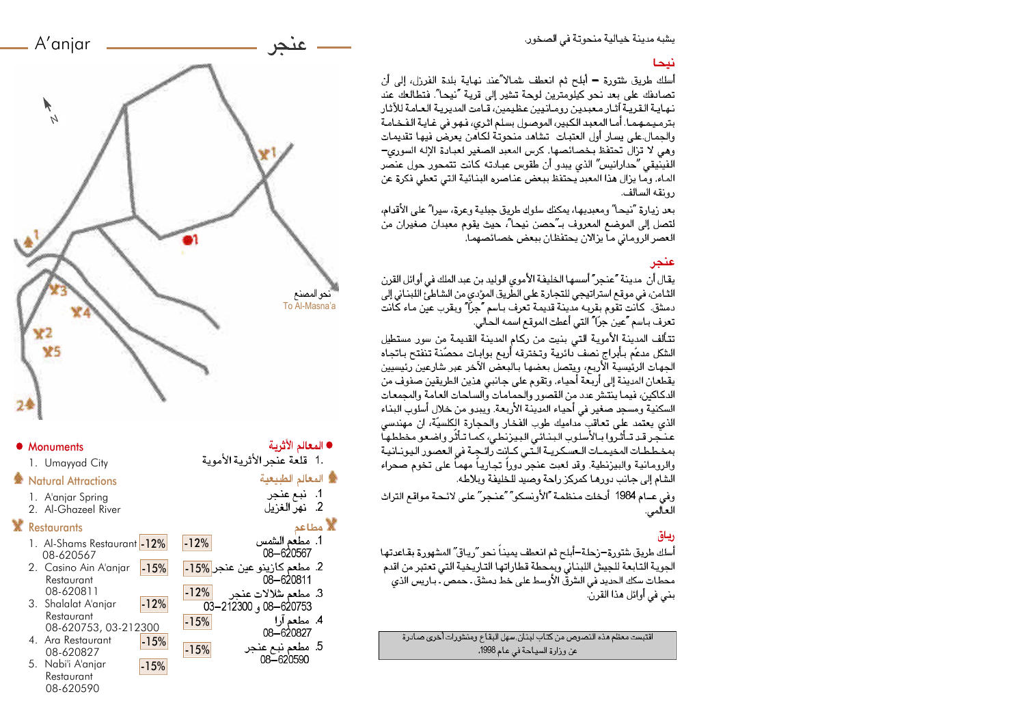يشبه مدينة خيالية منحوتة في الصخور.

أسلك طريق شتورة – أبلح ثم انعطف شمالا ّعند نهاية بلدة الفرزل، إلى أن تصادفك على بعد نحو كيلومترين لوحة تشير إلى قرية "نيحا". فتطالعك عند نهايـة الـقريـة آثـار مـعبديـن رومـانـيين عظيمين، قـامت المديّريـة الـعـامـة للآثـار. بترميمـهمـا. أمـا المعبد الكبير، الموصـول بسلـم اثـري، فـهـو في غـايـة الـفـخـامـة والحمال على يسار أول العتبات اتشاهد منحوتة لكاهن يعرض فيها تقديمات وهي لا تزال تحتفظ بخصائصها. كرس المعبد الصغير لعبادة الإله السوري— الفينيقي آحدارانيس ؒ الذي يبدو أن طقوس عبادته كانت تتمحور حول عنصَّر الماء. وما يزال هذا المعبد يحتفظ ببعض عناصره البنائية التي تعطي فكرة عن رونقه السالف.

بعد زيارة آنيحا" ومعبديها، يمكنك سلوك طريق جبلية وعرة، سيرا" على الأقدام، لتصل إلى الموضع المعروف بـ"حصن نيحا"، حيث يقوم معبدان صغيران من العصر الرومـاني مـآ يزالان يحتفظان ببعض خصـائصهمـا. ٰ

يقال أن ً مدينة "عنجر" أسسها الخليفة الأموي الوليد بن عبد الملك في أوائل القرن الثـامن، في موقـع استراتيجي للتجارة على الطّريق الموّدي من الشاطـءَ اللبنـاني إلى دمشق. كَانت تقوم بقربه مْدينة قديمة تعرف بـاسم ؒجراؒ وبقرب عين مـاء كَانت تعرف بـاسم "عين جرّا" التي أعطت الموقع اسمه الحالي.

تتألف المدينة الأموية التي بنيت من ركام المدينة القديمة من سور مستطيل الشكل مدعّم بأبراج نصف دائرية وتخترقه أربع بوابات محصّنة تنفتح باتجاه الجهات الرئيسية الأربع، ويتصل بعضها بالبعض الآخر عبر شارعين رئيسيين يقطعان المدينة إلى أربعة أحياء. وتقوم على جانبي هذين الطريقين صفوف من الدكاكين، فيما ينتش عدد من القصور والحمامات والساحات العامة والمجمعات السكنية ومسجد صغير في أحياء المدينة الأربعة. ويبدو من خلال أسلوب البناء الذي يعتمد على تعاقب مداميك طوب الفخار والحجارة الكلسيّة، ان مهندسي عنجر قد تتأثروا بالأسلوب البنائي البيزنطي، كما تتأثر واضعو مخططها بمخططات المخيمـات الـعسكـريـة الـتـّي كـانت رائـجـة في الـعصور اليونـانيـة والرومانية والبيزنطية. وقد لعبت عنجر دوراً تجارياً مهماً على تخوم صحراء الشام إلى جانب دورهـا كمركز راحة وصيد للـخليفة وبلاطه.

وفي عــام 1984 أدخلت منظمة "الأونسكو" "عنجر" علـي لائـحـة مواقـع التراث العالمي.

## رياق

أسلك طريق شتورة–زحلة–أبلح ثم انعطف بمينـاً نحو "ريـاق" المشهورة بقاعدتها الجوية التابعة للجيش اللبناني ويمحطة قطاراتها التاريخية التي تعتبر من اقدم محطَّات سكك الحديد في الشرقِّ الأوسط على خطِّ دمشق ـ حمص ۖ بـاريس الَّذي بني في أوائل هذا القرن.

اقتبست معظم هذه النصوص من كتاب لبنان, سهل البقاع ومنشورات أخرى صادرة عن وزارة السياحة في عام 1998.



 $-15%$ 

 $-12%$ 

مطعم شلالات عنجر <mark>12%-</mark><br>620753–08 و 212300–03

● المعالم الأثرية -

▒ المعالم الطبيعية

1. نبع عنجر

2. نهر الغزيل

1. مطعم الشمس 08-620567

08-620811 3. مطعم شلالات عنحر

5. مطعم نبع عنجر

08-620590

4. مطعم آرا 08-620827

**پ**<br>الا مطاعه

.1 قلعة عنجر الأثربية الأمويية

 $-15%$ 

 $-15%$ 

-15%

#### ● Monuments

1. Umayyad City

#### **※ Natural Attractions**

- 1. A'anjar Spring
- 2. Al-Ghazeel River

#### **Restaurants**

- 1. Al-Shams Restaurant 12% 08-620567 2. مطعم كارينو عين عنجر 15%<mark>.</mark> 15%.
- 2. Casino Ain A'anjar Restaurant 08-620811
- 3. Shalalat A'anjar Restaurant 08-620753, 03-212300 -12%
- 4. Ara Restaurant 08-620827
- 5. Nabi'i A'anjar Restaurant 08-620590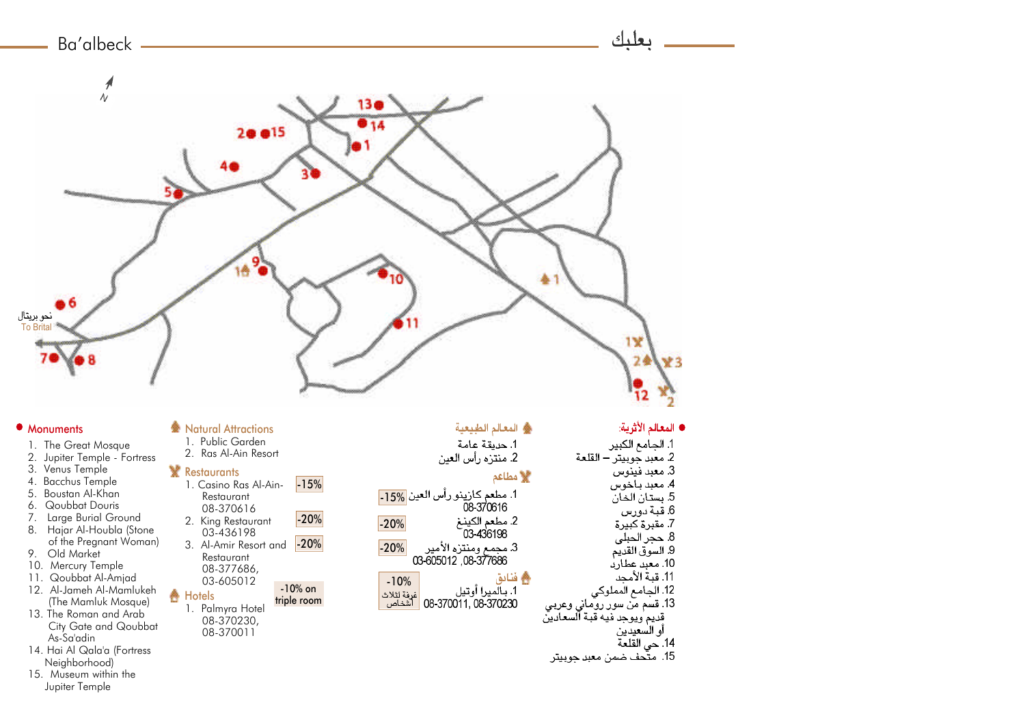

### • Monuments

- 1. The Great Mosque
- 2. Jupiter Temple Fortress
- 3. Venus Temple
- 4. Bacchus Temple
- 5. Boustan Al-Khan 6. Qoubbat Douris
- 7. Large Burial Ground
- 8. Hajar Al-Houbla (Stone of the Pregnant Woman)
- 9. Old Market
- 10. Mercury Temple
- 11. Qoubbat Al-Amjad
- 12. Al-Jameh Al-Mamlukeh (The Mamluk Mosque)
- 13. The Roman and Arab City Gate and Qoubbat As-Sa'adin
- 14. Hai Al Qala'a (Fortress Neighborhood)
- 15. Museum within the Jupiter Temple

# **参 Natural Attractions**

1. Public Garden 2. Ras Al-Ain Resort

## **Restaurants**

- 1. Casino Ras Al-Ain-Restaurant 08-370616 2. King Restaurant 03-436198 3. Al-Amir Resort and Restaurant 08-377686, 03-605012 **A** Hotels -10% on triple room -15% -20% -20% -20% -20%
	- 1. Palmyra Hotel 08-370230, 08-370011

## ه المعالم الطبيعية

1. حديقة عامة 2. منتزه رأس العين

## **﴾ مطاعم**

- 1. مطعم كازينو رأس العين <mark>15%-.</mark> 08-370616 2. مطعم الكينـغ<br>03-436198 3. مجمع ومنتزه الأمير<br>03-605012 ,08-377686
- ه فنادق -10%<br>غرفة لثلاث<br>الش<u>خاص</u> 1. بـالّميرا أو تيل 08-370011, 08-370230

#### 3. معبد فينوس 4. معبد باخوس 5. بستان الخان 6. قبة دورس

- 7. مقبرة كَبيرة 8. حجر الحبلي
	- 9. السوق القديم 10. معبد عطارد

1. الجامع الكبير

2. معبد جوبيتر – القلعة

- 11. قبة الأمحد 12. الجامع المملوكي
- 
- 13. قسم من سور روماني وعربي<br>قديم ويوجد فيه قبة السعادين
	- أو السعيدين
	- 14. حي القلعة
- 15. متَّحف ضمن معبد جوبيتر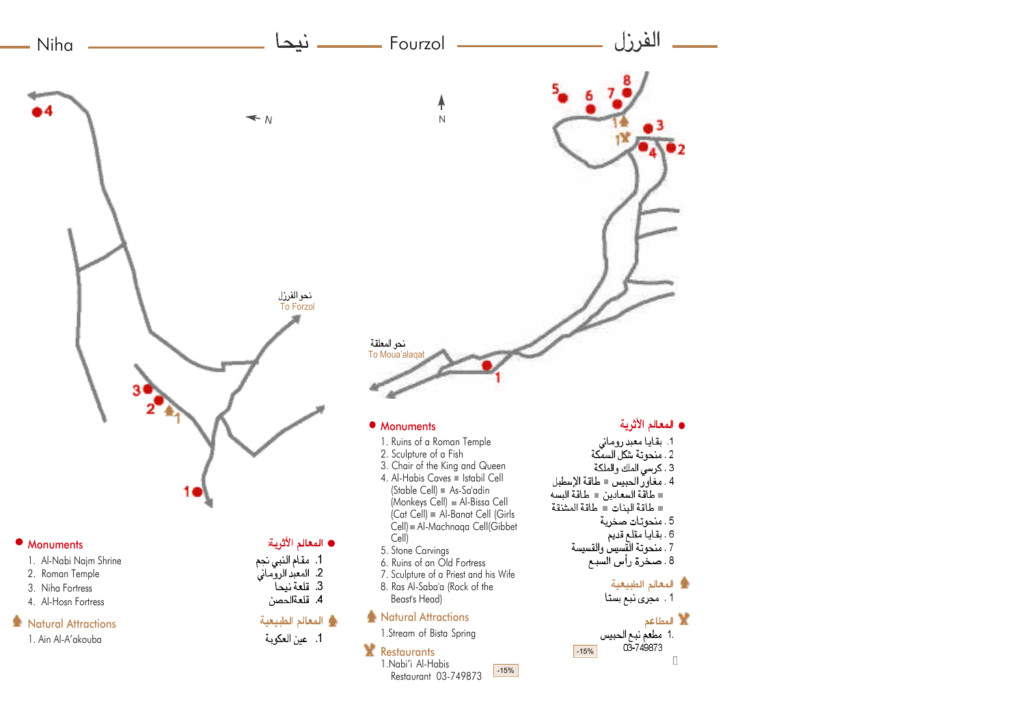

#### Monuments

- 1. Al-Nabi Najm Shrine
- 2. Roman Temple
- 3. Niha Fortress 4. Al-Hosn Fortress
- 

## **叠 Natural Attractions**

1. Ain Al-A'akouba

## ● المعالم الأثرية:

1. مقام النبي نجم<br>2. المعبد الروماني<br>3. قلعة نيحا

4. قلعةالحصن

# \* المعالم الطبيعية

1. عين العكوية

- $|Cat \; Cell| = AI$ -Banat Cell (Girls Cell) Al-Machnaqa Cell(Gibbet Cell)
- 5. Stone Carvings
- 6. Ruins of an Old Fortress
- 7. Sculpture of a Priest and his Wife 8. Ras Al-Saba'a (Rock of the Beast's Head)
- **参 Natural Attractions**

1.Stream of Bista Spring

## **X** Restaurants

1.Nabi'i Al-Habis Restaurant 03-749873 -15%

- 5. منحوتات صخرية
	-
- .<br>6 . بقاياً مقلّع قديم<br>7 . منحوتة القسيس والقسيسة
- 8. صحْرَة رأْسَ الْسَبَعِ

 $-15%$ 

**叠** المعالم الطبيعية 1. مجری نبع بستا

### **W** المطاعم .1 مطعم نبع الحبيس

03 749873  $\Box$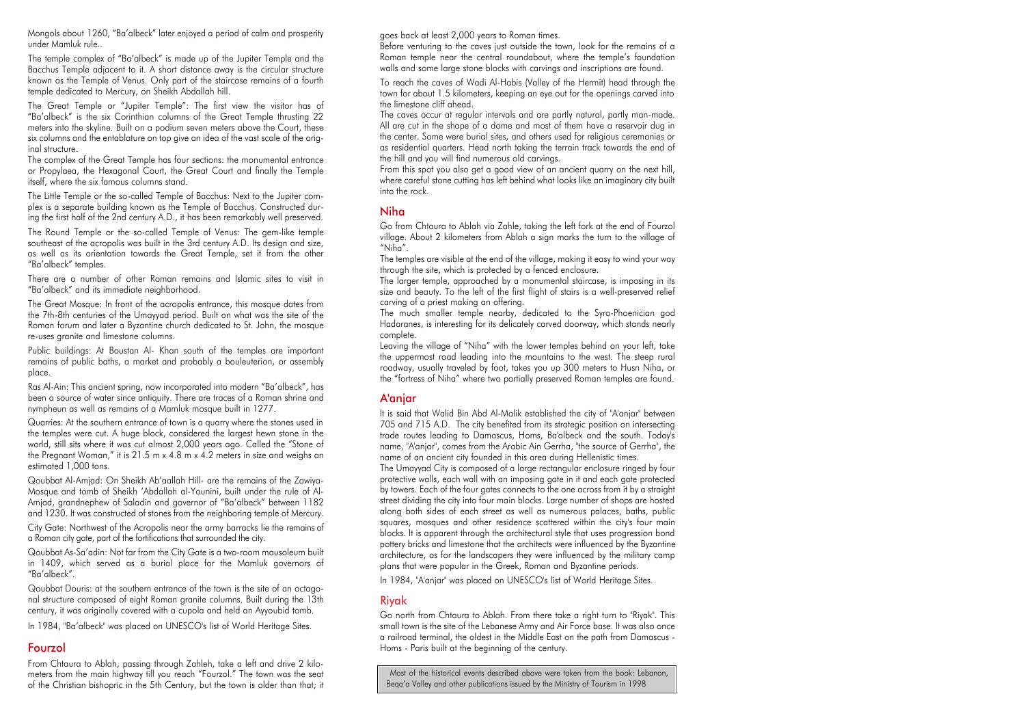Mongols about 1260, "Ba'albeck" later enjoyed a period of calm and prosperity under Mamluk rule..

The temple complex of "Ba'albeck" is made up of the Jupiter Temple and the Bacchus Temple adjacent to it. A short distance away is the circular structure known as the Temple of Venus. Only part of the staircase remains of a fourth temple dedicated to Mercury, on Sheikh Abdallah hill.

The Great Temple or "Jupiter Temple": The first view the visitor has of "Ba'albeck" is the six Corinthian columns of the Great Temple thrusting 22 meters into the skyline. Built on a podium seven meters above the Court, these six columns and the entablature on top give an idea of the vast scale of the original structure.

The complex of the Great Temple has four sections: the monumental entrance or Propylaea, the Hexagonal Court, the Great Court and finally the Temple itself, where the six famous columns stand.

The Little Temple or the so-called Temple of Bacchus: Next to the Jupiter complex is a separate building known as the Temple of Bacchus. Constructed during the first half of the 2nd century A.D., it has been remarkably well preserved.

The Round Temple or the so-called Temple of Venus: The gem-like temple southeast of the acropolis was built in the 3rd century A.D. Its design and size, as well as its orientation towards the Great Temple, set it from the other "Ba'albeck" temples.

There are a number of other Roman remains and Islamic sites to visit in "Ba'albeck" and its immediate neighborhood.

The Great Mosque: In front of the acropolis entrance, this mosque dates from the 7th-8th centuries of the Umayyad period. Built on what was the site of the Roman forum and later a Byzantine church dedicated to St. John, the mosque re-uses granite and limestone columns.

Public buildings: At Boustan Al- Khan south of the temples are important remains of public baths, a market and probably a bouleuterion, or assembly place.

Ras Al-Ain: This ancient spring, now incorporated into modern "Ba'albeck", has been a source of water since antiquity. There are traces of a Roman shrine and nympheun as well as remains of a Mamluk mosque built in 1277.

Quarries: At the southern entrance of town is a quarry where the stones used in the temples were cut. A huge block, considered the largest hewn stone in the world, still sits where it was cut almost 2,000 years ago. Called the "Stone of the Pregnant Woman," it is 21.5 m x 4.8 m x 4.2 meters in size and weighs an estimated 1,000 tons.

Qoubbat Al-Amjad: On Sheikh Ab'aallah Hill- are the remains of the Zawiya-Mosque and tomb of Sheikh 'Abdallah al-Younini, built under the rule of Al-Amjad, grandnephew of Saladin and governor of "Ba'albeck" between 1182 and 1230. It was constructed of stones from the neighboring temple of Mercury.

City Gate: Northwest of the Acropolis near the army barracks lie the remains of a Roman city gate, part of the fortifications that surrounded the city.

Qoubbat As-Sa'adin: Not far from the City Gate is a two-room mausoleum built in 1409, which served as a burial place for the Mamluk governors of "Ba'albeck".

Qoubbat Douris: at the southern entrance of the town is the site of an octagonal structure composed of eight Roman granite columns. Built during the 13th century, it was originally covered with a cupola and held an Ayyoubid tomb.

In 1984, "Ba'albeck" was placed on UNESCO's list of World Heritage Sites.

#### Fourzol

From Chtaura to Ablah, passing through Zahleh, take a left and drive 2 kilometers from the main highway till you reach "Fourzol." The town was the seat of the Christian bishopric in the 5th Century, but the town is older than that; it goes back at least 2,000 years to Roman times.

Before venturing to the caves just outside the town, look for the remains of a Roman temple near the central roundabout, where the temple's foundation walls and some large stone blocks with carvings and inscriptions are found.

To reach the caves of Wadi Al-Habis (Valley of the Hermit) head through the town for about 1.5 kilometers, keeping an eye out for the openings carved into the limestone cliff ahead.

The caves occur at regular intervals and are partly natural, partly man-made. All are cut in the shape of a dome and most of them have a reservoir dug in the center. Some were burial sites, and others used for religious ceremonies or as residential quarters. Head north taking the terrain track towards the end of the hill and you will find numerous old carvings.

From this spot you also get a good view of an ancient quarry on the next hill, where careful stone cutting has left behind what looks like an imaginary city built into the rock.

#### Niha

Go from Chtaura to Ablah via Zahle, taking the left fork at the end of Fourzol village. About 2 kilometers from Ablah a sign marks the turn to the village of "Niha".

The temples are visible at the end of the village, making it easy to wind your way through the site, which is protected by a fenced enclosure.

The larger temple, approached by a monumental staircase, is imposing in its size and beauty. To the left of the first flight of stairs is a well-preserved relief carving of a priest making an offering.

The much smaller temple nearby, dedicated to the Syro-Phoenician god Hadaranes, is interesting for its delicately carved doorway, which stands nearly complete.

Leaving the village of "Niha" with the lower temples behind on your left, take the uppermost road leading into the mountains to the west. The steep rural roadway, usually traveled by foot, takes you up 300 meters to Husn Niha, or the "fortress of Niha" where two partially preserved Roman temples are found.

#### A'anjar

It is said that Walid Bin Abd Al-Malik established the city of "A'anjar" between 705 and 715 A.D. The city benefited from its strategic position on intersecting trade routes leading to Damascus, Homs, Ba'albeck and the south. Today's name, "A'anjar", comes from the Arabic Ain Gerrha, "the source of Gerrha", the name of an ancient city founded in this area during Hellenistic times.

The Umayyad City is composed of a large rectangular enclosure ringed by four protective walls, each wall with an imposing gate in it and each gate protected by towers. Each of the four gates connects to the one across from it by a straight street dividing the city into four main blocks. Large number of shops are hosted along both sides of each street as well as numerous palaces, baths, public squares, mosques and other residence scattered within the city's four main blocks. It is apparent through the architectural style that uses progression bond pottery bricks and limestone that the architects were influenced by the Byzantine architecture, as for the landscapers they were influenced by the military camp plans that were popular in the Greek, Roman and Byzantine periods.

In 1984, "A'anjar" was placed on UNESCO's list of World Heritage Sites.

#### Riyak

Go north from Chtaura to Ablah. From there take a right turn to "Riyak". This small town is the site of the Lebanese Army and Air Force base. It was also once a railroad terminal, the oldest in the Middle East on the path from Damascus - Homs - Paris built at the beginning of the century.

Most of the historical events described above were taken from the book: Lebanon, Beqa'a Valley and other publications issued by the Ministry of Tourism in 1998